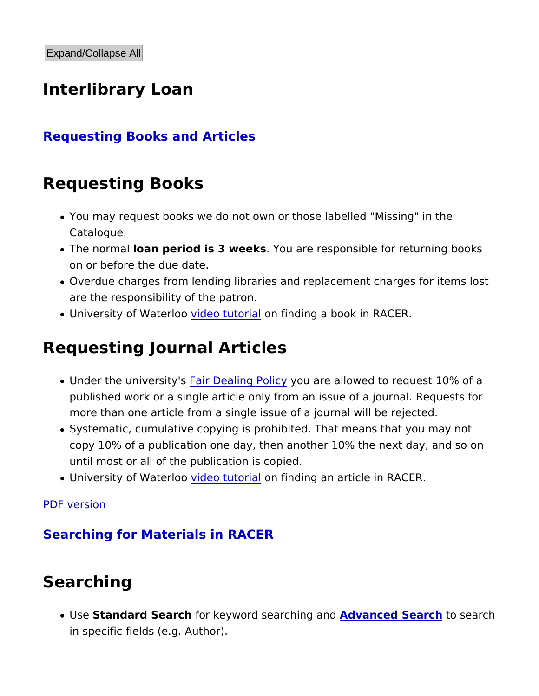## Interlibrary Loan

### Requesting Books and Articles

## Requesting Books

- You may request books we do not own or those labelled "Missi Catalogue.
- $\bullet$  The normal an period is 3 wee bou are responsible for returning on or before the due date.
- Overdue charges from lending libraries and replacement charg are the responsibility of the patron.
- $\bullet$  University of Wated  $\bullet$  contutoroinal finding a book in <code>RACER</code>.

## Requesting Journal Articles

- $\bullet$  Under the univer $\overline{\mathsf{fsa}}$  ty 'Bealing Pycoluc are allowed to request 10%  $\hspace{0.5cm}$ published work or a single article only from an issue of a jour more than one article from a single issue of a journal will be
- Systematic, cumulative copying is prohibited. That means that copy 10% of a publication one day, then another 10% the next until most or all of the publication is copied.
- University of Wated *e*cotuto pinal finding an article in RACER.

[PDF vers](https://library.mcmaster.ca/print/pdf/node/17010)ion

Searching for Materials in RACER

# Searching

• UseStandard Searfchr keyword search Andgy aamroded Seartoch search in specific fields (e.g. Author).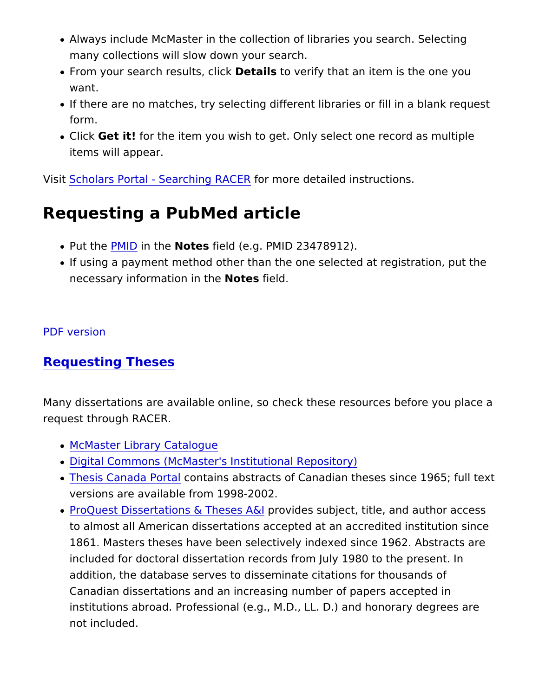- Always include McMaster in the collection of libraries you sea many collections will slow down your search.
- $\bullet$  From your search resuDtest, aclist  $\bullet$  crify that an item is the one y want.
- If there are no matches, try selecting different libraries or fill form.
- Clic Get it for the item you wish to get. Only select one record items will appear.

VisisCholars Portal - Searchifrog Rh&CE Retailed instructions.

### Requesting a PubMed article

- $\bullet$  Put th $\overline{\text{PeM}}$  ID in th $\text{Vec}$  Steld (e.g. PMID 23478912).
- If using a payment method other than the one selected at regi necessary information oites thield.

#### [PDF vers](https://library.mcmaster.ca/print/pdf/node/17010)ion

#### Requesting Theses

Many dissertations are available online, so check these resources request through RACER.

- [McMaster Library Ca](http://library.mcmaster.ca/catalogue/)talogue
- [Digital Commons \(McMaster's Instituti](http://digitalcommons.mcmaster.ca/ )onal Repository)
- [Thesis Canada](http://www.collectionscanada.gc.ca/thesescanada/index-e.html) Ponttalins abstracts of Canadian theses since 19 versions are available from 1998-2002.
- ProQuest Dissertations  $\&$  The ensual destruation and author and  $\bm{\mathsf{a}}$ to almost all American dissertations accepted at an accredited 1861. Masters theses have been selectively indexed since 196 included for doctoral dissertation records from July 1980 to th addition, the database serves to disseminate citations for tho Canadian dissertations and an increasing number of papers ac institutions abroad. Professional (e.g., M.D., LL. D.) and hono not included.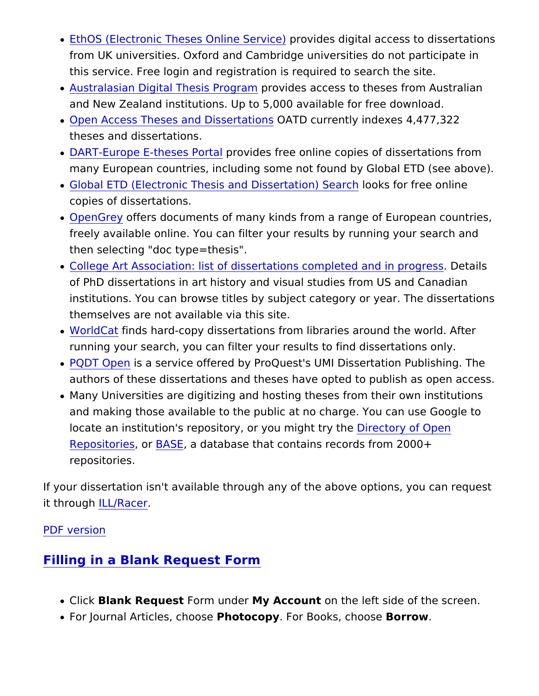- [EthOS \(Electronic Theses On](http://www.ethos.ac.uk/)lprovSdesidegital access to disser from UK universities. Oxford and Cambridge universities do no this service. Free login and registration is required to search
- [Australasian Digital Thes](http://www.caul.edu.au/caul-programs/australasian-digital-theses)is r B vides maccess to theses from Aust and New Zealand institutions. Up to 5,000 available for free d
- $\bullet$  [Open Access Theses and D](https://oatd.org/)is $\text{S\&ATE}$  to ansently indexes 4,477,322 theses and dissertations.
- [DART-Europe E-thes](http://www.dart-europe.eu/)eps Poindes free online copies of dissertations and  $\overline{a}$ many European countries, including some not found by Global
- [Global ETD \(Electronic Thesis and Dis](http://search.ndltd.org/)sleord & sidon) Sree rolmline copies of dissertations.
- . [OpenGr](http://www.opengrey.eu/)eovffers documents of many kinds from a range of Europ freely available online. You can filter your results by running then selecting "doc type=thesis".
- . [College Art Association: list of dissertations com](http://www.caareviews.org/dissertations)pleted aids of in of PhD dissertations in art history and visual studies from US institutions. You can browse titles by subject category or year themselves are not available via this site.
- . World Catinds hard-copy dissertations from libraries around the running your search, you can filter your results to find dissert
- [PQDT O](https://pqdtopen.proquest.com/search.html)pesna service offered by ProQuest's UMI Dissertation F authors of these dissertations and theses have opted to publis
- Many Universities are digitizing and hosting theses from their and making those available to the public at no charge. You ca locate an institution's repository, or yD urencito phrovioly Obpeen  $Reposition 8ASE$  database that contains records from 2000+ repositories.

If your dissertation isn't available through any of the above optio it through L/Racer

[PDF vers](https://library.mcmaster.ca/print/pdf/node/17010)ion

Filling in a Blank Request Form

- . ClicBlank Requestorm und Vey Accound n the left side of the scree
- For Journal ArticlesP, hoohtoocopey For Books, choosoew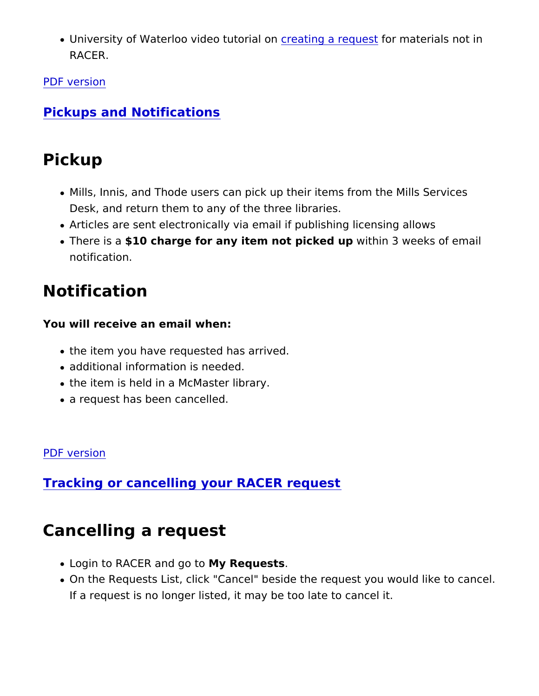• University of Waterloo videoctubating a meqfuoes that erials not in RACER.

[PDF vers](https://library.mcmaster.ca/print/pdf/node/17010)ion

Pickups and Notifications

# Pickup

- Mills, Innis, and Thode users can pick up their items from the Desk, and return them to any of the three libraries.
- Articles are sent electronically via email if publishing licensir
- There issuado charge for any item not picwetchion p3 weeks of email notification.

## Notification

You will receive an email when:

- the item you have requested has arrived.
- additional information is needed.
- the item is held in a McMaster library.
- a request has been cancelled.

### [PDF vers](https://library.mcmaster.ca/print/pdf/node/17010)ion

Tracking or cancelling your RACER request

# Cancelling a request

- $\bullet$  Login to RACER an Moyg Retopuests
- . On the Requests List, click "Cancel" beside the request you w If a request is no longer listed, it may be too late to cancel it